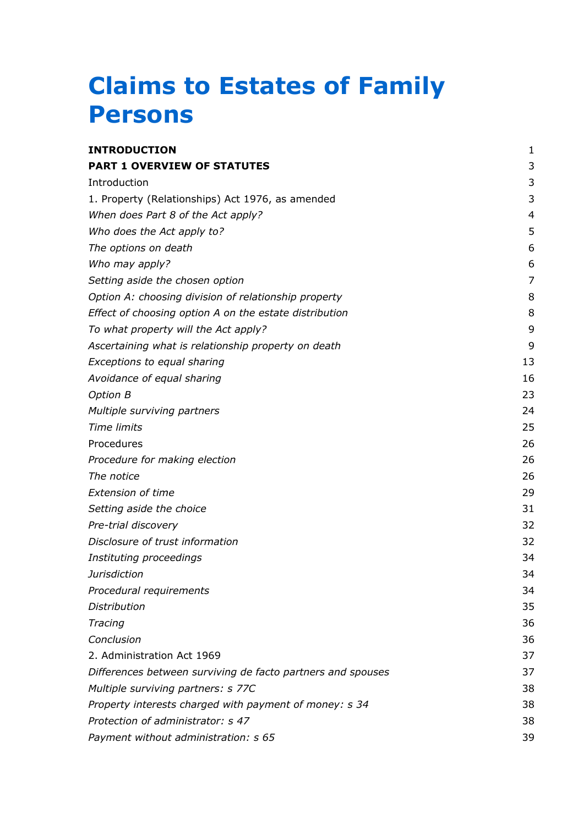## **Claims to Estates of Family Persons**

| <b>INTRODUCTION</b>                                         | 1  |
|-------------------------------------------------------------|----|
| <b>PART 1 OVERVIEW OF STATUTES</b>                          | 3  |
| Introduction                                                | 3  |
| 1. Property (Relationships) Act 1976, as amended            | 3  |
| When does Part 8 of the Act apply?                          | 4  |
| Who does the Act apply to?                                  | 5  |
| The options on death                                        | 6  |
| Who may apply?                                              | 6  |
| Setting aside the chosen option                             | 7  |
| Option A: choosing division of relationship property        | 8  |
| Effect of choosing option A on the estate distribution      | 8  |
| To what property will the Act apply?                        | 9  |
| Ascertaining what is relationship property on death         | 9  |
| Exceptions to equal sharing                                 | 13 |
| Avoidance of equal sharing                                  | 16 |
| <b>Option B</b>                                             | 23 |
| Multiple surviving partners                                 | 24 |
| <b>Time limits</b>                                          | 25 |
| Procedures                                                  | 26 |
| Procedure for making election                               | 26 |
| The notice                                                  | 26 |
| <b>Extension of time</b>                                    | 29 |
| Setting aside the choice                                    | 31 |
| Pre-trial discovery                                         | 32 |
| Disclosure of trust information                             | 32 |
| Instituting proceedings                                     | 34 |
| <b>Jurisdiction</b>                                         | 34 |
| Procedural requirements                                     | 34 |
| <b>Distribution</b>                                         | 35 |
| Tracing                                                     | 36 |
| Conclusion                                                  | 36 |
| 2. Administration Act 1969                                  | 37 |
| Differences between surviving de facto partners and spouses | 37 |
| Multiple surviving partners: s 77C                          | 38 |
| Property interests charged with payment of money: s 34      | 38 |
| Protection of administrator: s 47                           | 38 |
| Payment without administration: s 65                        | 39 |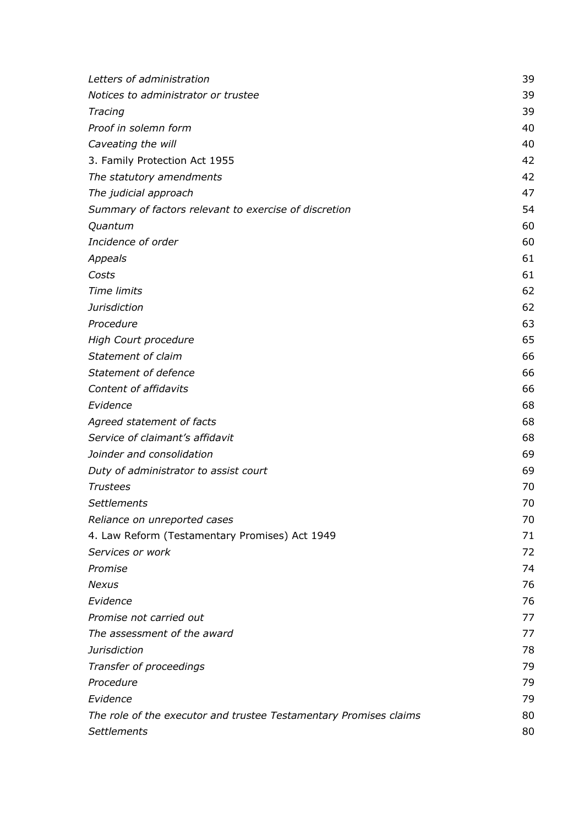| Letters of administration                                         | 39 |
|-------------------------------------------------------------------|----|
| Notices to administrator or trustee                               | 39 |
| Tracing                                                           | 39 |
| Proof in solemn form                                              | 40 |
| Caveating the will                                                | 40 |
| 3. Family Protection Act 1955                                     | 42 |
| The statutory amendments                                          | 42 |
| The judicial approach                                             | 47 |
| Summary of factors relevant to exercise of discretion             | 54 |
| Quantum                                                           | 60 |
| Incidence of order                                                | 60 |
| Appeals                                                           | 61 |
| Costs                                                             | 61 |
| <b>Time limits</b>                                                | 62 |
| <b>Jurisdiction</b>                                               | 62 |
| Procedure                                                         | 63 |
| High Court procedure                                              | 65 |
| Statement of claim                                                | 66 |
| Statement of defence                                              | 66 |
| Content of affidavits                                             | 66 |
| Evidence                                                          | 68 |
| Agreed statement of facts                                         | 68 |
| Service of claimant's affidavit                                   | 68 |
| Joinder and consolidation                                         | 69 |
| Duty of administrator to assist court                             | 69 |
| <b>Trustees</b>                                                   | 70 |
| <b>Settlements</b>                                                | 70 |
| Reliance on unreported cases                                      | 70 |
| 4. Law Reform (Testamentary Promises) Act 1949                    | 71 |
| Services or work                                                  | 72 |
| Promise                                                           | 74 |
| <b>Nexus</b>                                                      | 76 |
| Evidence                                                          | 76 |
| Promise not carried out                                           | 77 |
| The assessment of the award                                       | 77 |
| <b>Jurisdiction</b>                                               | 78 |
| Transfer of proceedings                                           | 79 |
| Procedure                                                         | 79 |
| Evidence                                                          | 79 |
| The role of the executor and trustee Testamentary Promises claims | 80 |
| <b>Settlements</b>                                                | 80 |